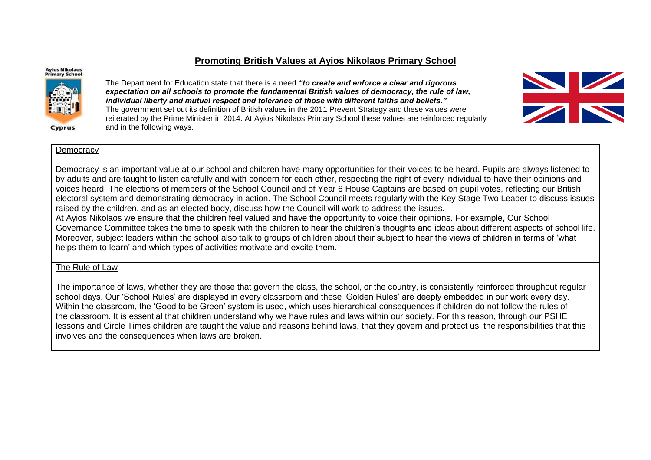# **Promoting British Values at Ayios Nikolaos Primary School**

#### **Avios Nikolaos Primary School**



Cyprus

The Department for Education state that there is a need *"to create and enforce a clear and rigorous expectation on all schools to promote the fundamental British values of democracy, the rule of law, individual liberty and mutual respect and tolerance of those with different faiths and beliefs."* The government set out its definition of British values in the 2011 Prevent Strategy and these values were reiterated by the Prime Minister in 2014. At Ayios Nikolaos Primary School these values are reinforced regularly and in the following ways.



### Democracy

Democracy is an important value at our school and children have many opportunities for their voices to be heard. Pupils are always listened to by adults and are taught to listen carefully and with concern for each other, respecting the right of every individual to have their opinions and voices heard. The elections of members of the School Council and of Year 6 House Captains are based on pupil votes, reflecting our British electoral system and demonstrating democracy in action. The School Council meets regularly with the Key Stage Two Leader to discuss issues raised by the children, and as an elected body, discuss how the Council will work to address the issues.

At Ayios Nikolaos we ensure that the children feel valued and have the opportunity to voice their opinions. For example, Our School Governance Committee takes the time to speak with the children to hear the children's thoughts and ideas about different aspects of school life. Moreover, subject leaders within the school also talk to groups of children about their subject to hear the views of children in terms of 'what helps them to learn' and which types of activities motivate and excite them.

## The Rule of Law

The importance of laws, whether they are those that govern the class, the school, or the country, is consistently reinforced throughout regular school days. Our 'School Rules' are displayed in every classroom and these 'Golden Rules' are deeply embedded in our work every day. Within the classroom, the 'Good to be Green' system is used, which uses hierarchical consequences if children do not follow the rules of the classroom. It is essential that children understand why we have rules and laws within our society. For this reason, through our PSHE lessons and Circle Times children are taught the value and reasons behind laws, that they govern and protect us, the responsibilities that this involves and the consequences when laws are broken.